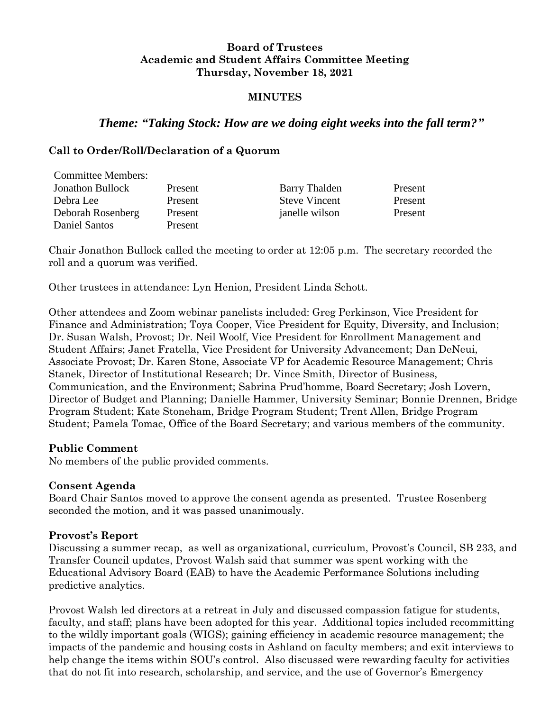#### **Board of Trustees Academic and Student Affairs Committee Meeting Thursday, November 18, 2021**

#### **MINUTES**

# *Theme: "Taking Stock: How are we doing eight weeks into the fall term?"*

#### **Call to Order/Roll/Declaration of a Quorum**

| <b>Committee Members:</b> |         |                      |         |
|---------------------------|---------|----------------------|---------|
| <b>Jonathon Bullock</b>   | Present | <b>Barry Thalden</b> | Present |
| Debra Lee                 | Present | <b>Steve Vincent</b> | Present |
| Deborah Rosenberg         | Present | janelle wilson       | Present |
| Daniel Santos             | Present |                      |         |

Chair Jonathon Bullock called the meeting to order at 12:05 p.m. The secretary recorded the roll and a quorum was verified.

Other trustees in attendance: Lyn Henion, President Linda Schott.

Other attendees and Zoom webinar panelists included: Greg Perkinson, Vice President for Finance and Administration; Toya Cooper, Vice President for Equity, Diversity, and Inclusion; Dr. Susan Walsh, Provost; Dr. Neil Woolf, Vice President for Enrollment Management and Student Affairs; Janet Fratella, Vice President for University Advancement; Dan DeNeui, Associate Provost; Dr. Karen Stone, Associate VP for Academic Resource Management; Chris Stanek, Director of Institutional Research; Dr. Vince Smith, Director of Business, Communication, and the Environment; Sabrina Prud'homme, Board Secretary; Josh Lovern, Director of Budget and Planning; Danielle Hammer, University Seminar; Bonnie Drennen, Bridge Program Student; Kate Stoneham, Bridge Program Student; Trent Allen, Bridge Program Student; Pamela Tomac, Office of the Board Secretary; and various members of the community.

#### **Public Comment**

No members of the public provided comments.

#### **Consent Agenda**

Board Chair Santos moved to approve the consent agenda as presented. Trustee Rosenberg seconded the motion, and it was passed unanimously.

#### **Provost's Report**

Discussing a summer recap, as well as organizational, curriculum, Provost's Council, SB 233, and Transfer Council updates, Provost Walsh said that summer was spent working with the Educational Advisory Board (EAB) to have the Academic Performance Solutions including predictive analytics.

Provost Walsh led directors at a retreat in July and discussed compassion fatigue for students, faculty, and staff; plans have been adopted for this year. Additional topics included recommitting to the wildly important goals (WIGS); gaining efficiency in academic resource management; the impacts of the pandemic and housing costs in Ashland on faculty members; and exit interviews to help change the items within SOU's control. Also discussed were rewarding faculty for activities that do not fit into research, scholarship, and service, and the use of Governor's Emergency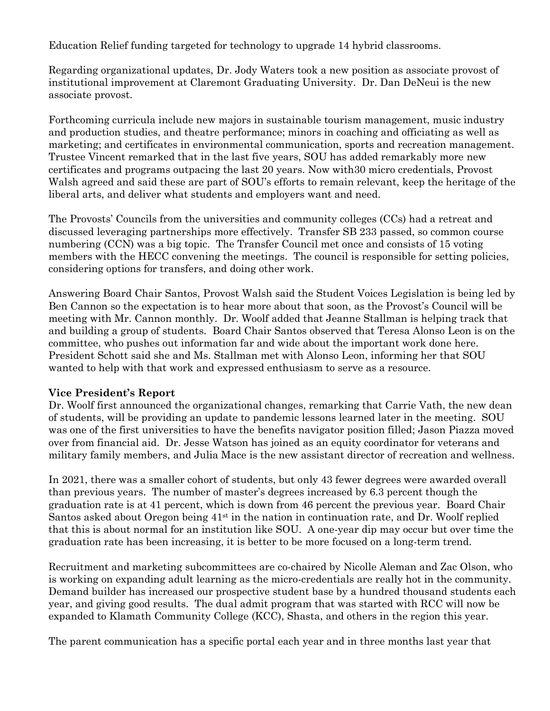Education Relief funding targeted for technology to upgrade 14 hybrid classrooms.

Regarding organizational updates, Dr. Jody Waters took a new position as associate provost of institutional improvement at Claremont Graduating University. Dr. Dan DeNeui is the new associate provost.

Forthcoming curricula include new majors in sustainable tourism management, music industry and production studies, and theatre performance; minors in coaching and officiating as well as marketing; and certificates in environmental communication, sports and recreation management. Trustee Vincent remarked that in the last five years, SOU has added remarkably more new certificates and programs outpacing the last 20 years. Now with30 micro credentials, Provost Walsh agreed and said these are part of SOU's efforts to remain relevant, keep the heritage of the liberal arts, and deliver what students and employers want and need.

The Provosts' Councils from the universities and community colleges (CCs) had a retreat and discussed leveraging partnerships more effectively. Transfer SB 233 passed, so common course numbering (CCN) was a big topic. The Transfer Council met once and consists of 15 voting members with the HECC convening the meetings. The council is responsible for setting policies, considering options for transfers, and doing other work.

Answering Board Chair Santos, Provost Walsh said the Student Voices Legislation is being led by Ben Cannon so the expectation is to hear more about that soon, as the Provost's Council will be meeting with Mr. Cannon monthly. Dr. Woolf added that Jeanne Stallman is helping track that and building a group of students. Board Chair Santos observed that Teresa Alonso Leon is on the committee, who pushes out information far and wide about the important work done here. President Schott said she and Ms. Stallman met with Alonso Leon, informing her that SOU wanted to help with that work and expressed enthusiasm to serve as a resource.

## **Vice President's Report**

Dr. Woolf first announced the organizational changes, remarking that Carrie Vath, the new dean of students, will be providing an update to pandemic lessons learned later in the meeting. SOU was one of the first universities to have the benefits navigator position filled; Jason Piazza moved over from financial aid. Dr. Jesse Watson has joined as an equity coordinator for veterans and military family members, and Julia Mace is the new assistant director of recreation and wellness.

In 2021, there was a smaller cohort of students, but only 43 fewer degrees were awarded overall than previous years. The number of master's degrees increased by 6.3 percent though the graduation rate is at 41 percent, which is down from 46 percent the previous year. Board Chair Santos asked about Oregon being  $41<sup>st</sup>$  in the nation in continuation rate, and Dr. Woolf replied that this is about normal for an institution like SOU. A one-year dip may occur but over time the graduation rate has been increasing, it is better to be more focused on a long-term trend.

Recruitment and marketing subcommittees are co-chaired by Nicolle Aleman and Zac Olson, who is working on expanding adult learning as the micro-credentials are really hot in the community. Demand builder has increased our prospective student base by a hundred thousand students each year, and giving good results. The dual admit program that was started with RCC will now be expanded to Klamath Community College (KCC), Shasta, and others in the region this year.

The parent communication has a specific portal each year and in three months last year that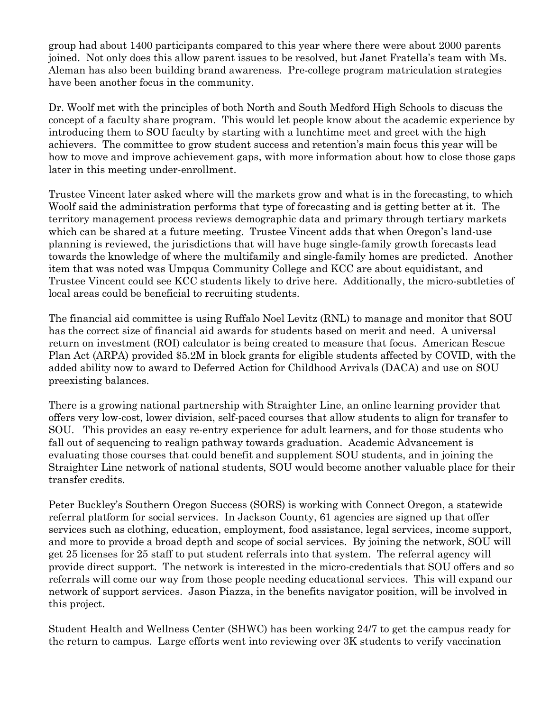group had about 1400 participants compared to this year where there were about 2000 parents joined. Not only does this allow parent issues to be resolved, but Janet Fratella's team with Ms. Aleman has also been building brand awareness. Pre-college program matriculation strategies have been another focus in the community.

Dr. Woolf met with the principles of both North and South Medford High Schools to discuss the concept of a faculty share program. This would let people know about the academic experience by introducing them to SOU faculty by starting with a lunchtime meet and greet with the high achievers. The committee to grow student success and retention's main focus this year will be how to move and improve achievement gaps, with more information about how to close those gaps later in this meeting under-enrollment.

Trustee Vincent later asked where will the markets grow and what is in the forecasting, to which Woolf said the administration performs that type of forecasting and is getting better at it. The territory management process reviews demographic data and primary through tertiary markets which can be shared at a future meeting. Trustee Vincent adds that when Oregon's land-use planning is reviewed, the jurisdictions that will have huge single-family growth forecasts lead towards the knowledge of where the multifamily and single-family homes are predicted. Another item that was noted was Umpqua Community College and KCC are about equidistant, and Trustee Vincent could see KCC students likely to drive here. Additionally, the micro-subtleties of local areas could be beneficial to recruiting students.

The financial aid committee is using Ruffalo Noel Levitz (RNL) to manage and monitor that SOU has the correct size of financial aid awards for students based on merit and need. A universal return on investment (ROI) calculator is being created to measure that focus. American Rescue Plan Act (ARPA) provided \$5.2M in block grants for eligible students affected by COVID, with the added ability now to award to Deferred Action for Childhood Arrivals (DACA) and use on SOU preexisting balances.

There is a growing national partnership with Straighter Line, an online learning provider that offers very low-cost, lower division, self-paced courses that allow students to align for transfer to SOU. This provides an easy re-entry experience for adult learners, and for those students who fall out of sequencing to realign pathway towards graduation. Academic Advancement is evaluating those courses that could benefit and supplement SOU students, and in joining the Straighter Line network of national students, SOU would become another valuable place for their transfer credits.

Peter Buckley's Southern Oregon Success (SORS) is working with Connect Oregon, a statewide referral platform for social services. In Jackson County, 61 agencies are signed up that offer services such as clothing, education, employment, food assistance, legal services, income support, and more to provide a broad depth and scope of social services. By joining the network, SOU will get 25 licenses for 25 staff to put student referrals into that system. The referral agency will provide direct support. The network is interested in the micro-credentials that SOU offers and so referrals will come our way from those people needing educational services. This will expand our network of support services. Jason Piazza, in the benefits navigator position, will be involved in this project.

Student Health and Wellness Center (SHWC) has been working 24/7 to get the campus ready for the return to campus. Large efforts went into reviewing over 3K students to verify vaccination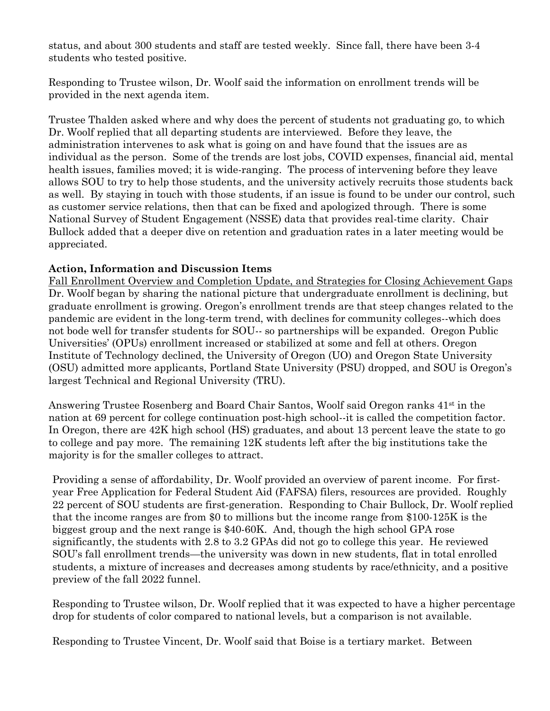status, and about 300 students and staff are tested weekly. Since fall, there have been 3-4 students who tested positive.

Responding to Trustee wilson, Dr. Woolf said the information on enrollment trends will be provided in the next agenda item.

Trustee Thalden asked where and why does the percent of students not graduating go, to which Dr. Woolf replied that all departing students are interviewed. Before they leave, the administration intervenes to ask what is going on and have found that the issues are as individual as the person. Some of the trends are lost jobs, COVID expenses, financial aid, mental health issues, families moved; it is wide-ranging. The process of intervening before they leave allows SOU to try to help those students, and the university actively recruits those students back as well. By staying in touch with those students, if an issue is found to be under our control, such as customer service relations, then that can be fixed and apologized through. There is some National Survey of Student Engagement (NSSE) data that provides real-time clarity. Chair Bullock added that a deeper dive on retention and graduation rates in a later meeting would be appreciated.

## **Action, Information and Discussion Items**

Fall Enrollment Overview and Completion Update, and Strategies for Closing Achievement Gaps Dr. Woolf began by sharing the national picture that undergraduate enrollment is declining, but graduate enrollment is growing. Oregon's enrollment trends are that steep changes related to the pandemic are evident in the long-term trend, with declines for community colleges--which does not bode well for transfer students for SOU-- so partnerships will be expanded. Oregon Public Universities' (OPUs) enrollment increased or stabilized at some and fell at others. Oregon Institute of Technology declined, the University of Oregon (UO) and Oregon State University (OSU) admitted more applicants, Portland State University (PSU) dropped, and SOU is Oregon's largest Technical and Regional University (TRU).

Answering Trustee Rosenberg and Board Chair Santos, Woolf said Oregon ranks  $41<sup>st</sup>$  in the nation at 69 percent for college continuation post-high school--it is called the competition factor. In Oregon, there are 42K high school (HS) graduates, and about 13 percent leave the state to go to college and pay more. The remaining 12K students left after the big institutions take the majority is for the smaller colleges to attract.

Providing a sense of affordability, Dr. Woolf provided an overview of parent income. For firstyear Free Application for Federal Student Aid (FAFSA) filers, resources are provided. Roughly 22 percent of SOU students are first-generation. Responding to Chair Bullock, Dr. Woolf replied that the income ranges are from \$0 to millions but the income range from \$100-125K is the biggest group and the next range is \$40-60K. And, though the high school GPA rose significantly, the students with 2.8 to 3.2 GPAs did not go to college this year. He reviewed SOU's fall enrollment trends—the university was down in new students, flat in total enrolled students, a mixture of increases and decreases among students by race/ethnicity, and a positive preview of the fall 2022 funnel.

Responding to Trustee wilson, Dr. Woolf replied that it was expected to have a higher percentage drop for students of color compared to national levels, but a comparison is not available.

Responding to Trustee Vincent, Dr. Woolf said that Boise is a tertiary market. Between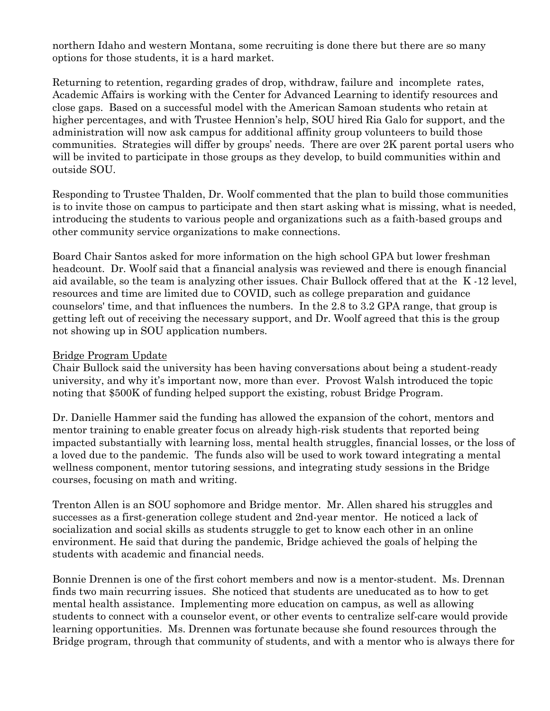northern Idaho and western Montana, some recruiting is done there but there are so many options for those students, it is a hard market.

Returning to retention, regarding grades of drop, withdraw, failure and incomplete rates, Academic Affairs is working with the Center for Advanced Learning to identify resources and close gaps. Based on a successful model with the American Samoan students who retain at higher percentages, and with Trustee Hennion's help, SOU hired Ria Galo for support, and the administration will now ask campus for additional affinity group volunteers to build those communities. Strategies will differ by groups' needs. There are over 2K parent portal users who will be invited to participate in those groups as they develop, to build communities within and outside SOU.

Responding to Trustee Thalden, Dr. Woolf commented that the plan to build those communities is to invite those on campus to participate and then start asking what is missing, what is needed, introducing the students to various people and organizations such as a faith-based groups and other community service organizations to make connections.

Board Chair Santos asked for more information on the high school GPA but lower freshman headcount. Dr. Woolf said that a financial analysis was reviewed and there is enough financial aid available, so the team is analyzing other issues. Chair Bullock offered that at the K -12 level, resources and time are limited due to COVID, such as college preparation and guidance counselors' time, and that influences the numbers. In the 2.8 to 3.2 GPA range, that group is getting left out of receiving the necessary support, and Dr. Woolf agreed that this is the group not showing up in SOU application numbers.

#### Bridge Program Update

Chair Bullock said the university has been having conversations about being a student-ready university, and why it's important now, more than ever. Provost Walsh introduced the topic noting that \$500K of funding helped support the existing, robust Bridge Program.

Dr. Danielle Hammer said the funding has allowed the expansion of the cohort, mentors and mentor training to enable greater focus on already high-risk students that reported being impacted substantially with learning loss, mental health struggles, financial losses, or the loss of a loved due to the pandemic. The funds also will be used to work toward integrating a mental wellness component, mentor tutoring sessions, and integrating study sessions in the Bridge courses, focusing on math and writing.

Trenton Allen is an SOU sophomore and Bridge mentor. Mr. Allen shared his struggles and successes as a first-generation college student and 2nd-year mentor. He noticed a lack of socialization and social skills as students struggle to get to know each other in an online environment. He said that during the pandemic, Bridge achieved the goals of helping the students with academic and financial needs.

Bonnie Drennen is one of the first cohort members and now is a mentor-student. Ms. Drennan finds two main recurring issues. She noticed that students are uneducated as to how to get mental health assistance. Implementing more education on campus, as well as allowing students to connect with a counselor event, or other events to centralize self-care would provide learning opportunities. Ms. Drennen was fortunate because she found resources through the Bridge program, through that community of students, and with a mentor who is always there for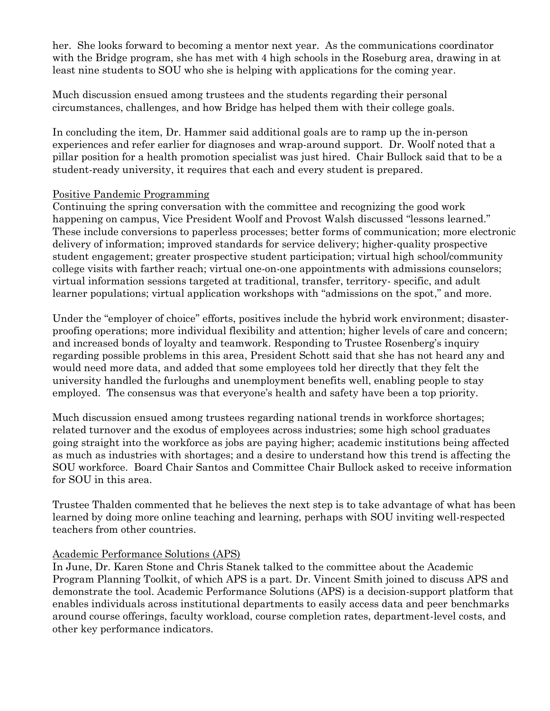her. She looks forward to becoming a mentor next year. As the communications coordinator with the Bridge program, she has met with 4 high schools in the Roseburg area, drawing in at least nine students to SOU who she is helping with applications for the coming year.

Much discussion ensued among trustees and the students regarding their personal circumstances, challenges, and how Bridge has helped them with their college goals.

In concluding the item, Dr. Hammer said additional goals are to ramp up the in-person experiences and refer earlier for diagnoses and wrap-around support. Dr. Woolf noted that a pillar position for a health promotion specialist was just hired. Chair Bullock said that to be a student-ready university, it requires that each and every student is prepared.

## Positive Pandemic Programming

Continuing the spring conversation with the committee and recognizing the good work happening on campus, Vice President Woolf and Provost Walsh discussed "lessons learned." These include conversions to paperless processes; better forms of communication; more electronic delivery of information; improved standards for service delivery; higher-quality prospective student engagement; greater prospective student participation; virtual high school/community college visits with farther reach; virtual one-on-one appointments with admissions counselors; virtual information sessions targeted at traditional, transfer, territory- specific, and adult learner populations; virtual application workshops with "admissions on the spot," and more.

Under the "employer of choice" efforts, positives include the hybrid work environment; disasterproofing operations; more individual flexibility and attention; higher levels of care and concern; and increased bonds of loyalty and teamwork. Responding to Trustee Rosenberg's inquiry regarding possible problems in this area, President Schott said that she has not heard any and would need more data, and added that some employees told her directly that they felt the university handled the furloughs and unemployment benefits well, enabling people to stay employed. The consensus was that everyone's health and safety have been a top priority.

Much discussion ensued among trustees regarding national trends in workforce shortages; related turnover and the exodus of employees across industries; some high school graduates going straight into the workforce as jobs are paying higher; academic institutions being affected as much as industries with shortages; and a desire to understand how this trend is affecting the SOU workforce. Board Chair Santos and Committee Chair Bullock asked to receive information for SOU in this area.

Trustee Thalden commented that he believes the next step is to take advantage of what has been learned by doing more online teaching and learning, perhaps with SOU inviting well-respected teachers from other countries.

## Academic Performance Solutions (APS)

In June, Dr. Karen Stone and Chris Stanek talked to the committee about the Academic Program Planning Toolkit, of which APS is a part. Dr. Vincent Smith joined to discuss APS and demonstrate the tool. Academic Performance Solutions (APS) is a decision-support platform that enables individuals across institutional departments to easily access data and peer benchmarks around course offerings, faculty workload, course completion rates, department-level costs, and other key performance indicators.